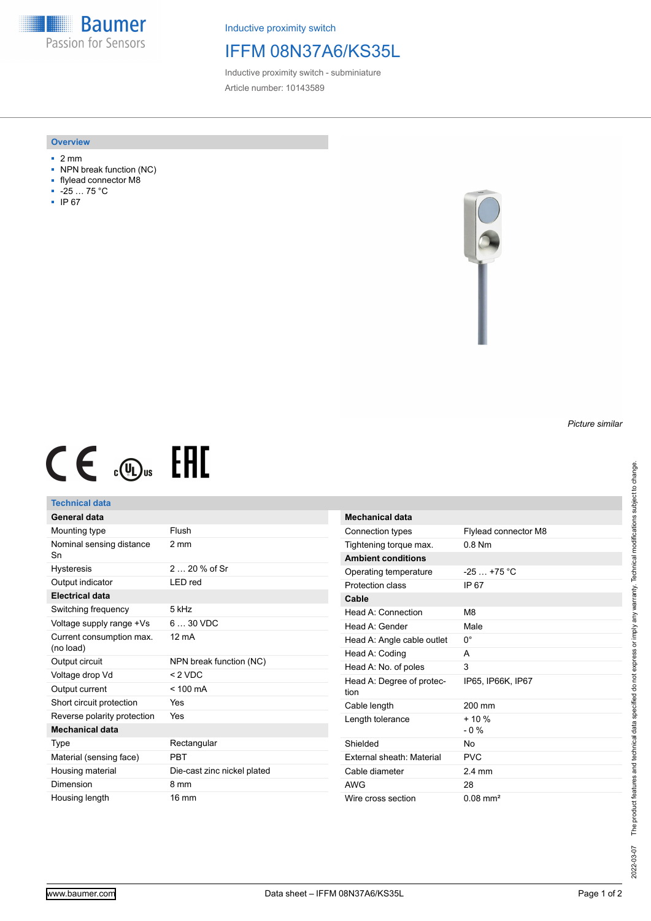**Baumer** Passion for Sensors

Inductive proximity switch

## IFFM 08N37A6/KS35L

Inductive proximity switch - subminiature Article number: 10143589

### **Overview**

- 2 mm
- NPN break function (NC)
- flylead connector M8
- -25 … 75 °C
- IP 67



# $CE \text{ and } CH$

## **Technical data**

| General data                          |                             |
|---------------------------------------|-----------------------------|
| Mounting type                         | Flush                       |
| Nominal sensing distance<br>Sn        | 2 mm                        |
| <b>Hysteresis</b>                     | 2 $20%$ of Sr               |
| Output indicator                      | I FD red                    |
| <b>Electrical data</b>                |                             |
| Switching frequency                   | 5 kHz                       |
| Voltage supply range +Vs              | $630$ VDC                   |
| Current consumption max.<br>(no load) | $12 \text{ mA}$             |
| Output circuit                        | NPN break function (NC)     |
| Voltage drop Vd                       | $< 2$ VDC                   |
| Output current                        | $< 100 \text{ mA}$          |
| Short circuit protection              | Yes                         |
| Reverse polarity protection           | Yes                         |
| <b>Mechanical data</b>                |                             |
| Type                                  | Rectangular                 |
| Material (sensing face)               | PRT                         |
| Housing material                      | Die-cast zinc nickel plated |
| Dimension                             | 8 mm                        |
|                                       |                             |

| Mechanical data                   |                      |
|-----------------------------------|----------------------|
| Connection types                  | Flylead connector M8 |
| Tightening torque max.            | 0 8 Nm               |
| <b>Ambient conditions</b>         |                      |
| Operating temperature             | $-25+75$ °C          |
| Protection class                  | IP 67                |
| Cable                             |                      |
| Head A: Connection                | M <sub>8</sub>       |
| Head A: Gender                    | Male                 |
| Head A: Angle cable outlet        | 0°                   |
| Head A: Coding                    | A                    |
| Head A: No. of poles              | 3                    |
| Head A: Degree of protec-<br>tion | IP65, IP66K, IP67    |
| Cable length                      | 200 mm               |
| Length tolerance                  | $+10%$<br>$-0\%$     |
| Shielded                          | N٥                   |
| External sheath: Material         | PVC                  |
| Cable diameter                    | $2.4 \text{ mm}$     |
| AWG                               | 28                   |
| Wire cross section                | $0.08 \text{ mm}^2$  |